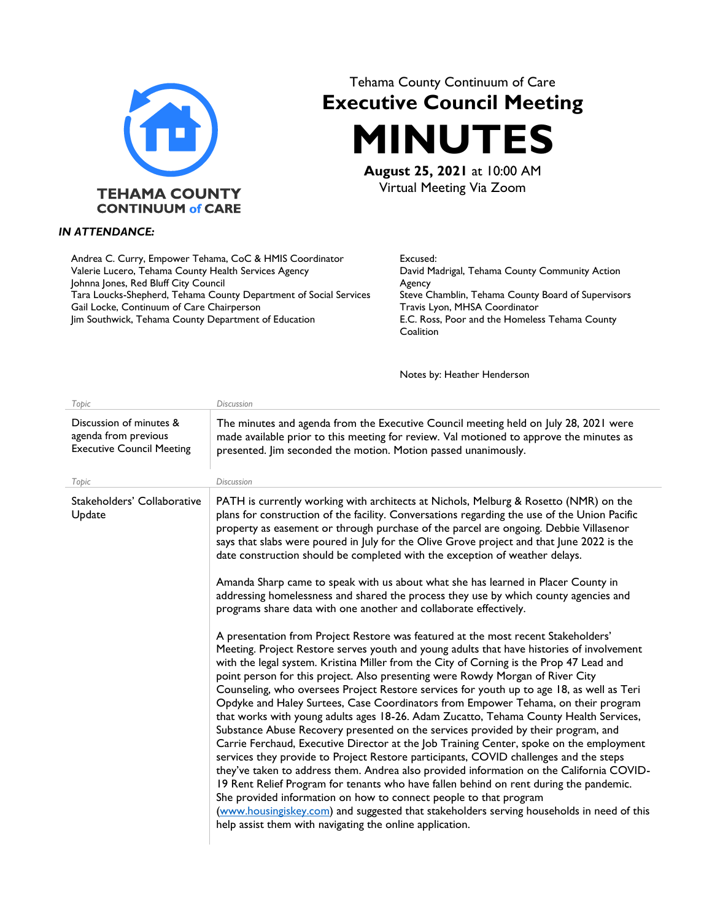

## Tehama County Continuum of Care **Executive Council Meeting MINUTES**

**August 25, 2021** at 10:00 AM Virtual Meeting Via Zoom

## *IN ATTENDANCE:*

Andrea C. Curry, Empower Tehama, CoC & HMIS Coordinator Valerie Lucero, Tehama County Health Services Agency Johnna Jones, Red Bluff City Council Tara Loucks-Shepherd, Tehama County Department of Social Services Gail Locke, Continuum of Care Chairperson Jim Southwick, Tehama County Department of Education

Excused: David Madrigal, Tehama County Community Action Agency Steve Chamblin, Tehama County Board of Supervisors Travis Lyon, MHSA Coordinator E.C. Ross, Poor and the Homeless Tehama County **Coalition** 

Notes by: Heather Henderson

| Topic                                                                                        | <b>Discussion</b>                                                                                                                                                                                                                                                                                                                                                                                                                                                                                                                                                                                                                                                                                                                                                                                                                                                                                                                                                                                                                                                                                                                                                                                                                                                                                                                                                                                                                                                                                                                                                                                                                                                                                                          |
|----------------------------------------------------------------------------------------------|----------------------------------------------------------------------------------------------------------------------------------------------------------------------------------------------------------------------------------------------------------------------------------------------------------------------------------------------------------------------------------------------------------------------------------------------------------------------------------------------------------------------------------------------------------------------------------------------------------------------------------------------------------------------------------------------------------------------------------------------------------------------------------------------------------------------------------------------------------------------------------------------------------------------------------------------------------------------------------------------------------------------------------------------------------------------------------------------------------------------------------------------------------------------------------------------------------------------------------------------------------------------------------------------------------------------------------------------------------------------------------------------------------------------------------------------------------------------------------------------------------------------------------------------------------------------------------------------------------------------------------------------------------------------------------------------------------------------------|
| Discussion of minutes &<br>agenda from previous<br><b>Executive Council Meeting</b><br>Topic | The minutes and agenda from the Executive Council meeting held on July 28, 2021 were<br>made available prior to this meeting for review. Val motioned to approve the minutes as<br>presented. Jim seconded the motion. Motion passed unanimously.<br><b>Discussion</b>                                                                                                                                                                                                                                                                                                                                                                                                                                                                                                                                                                                                                                                                                                                                                                                                                                                                                                                                                                                                                                                                                                                                                                                                                                                                                                                                                                                                                                                     |
|                                                                                              |                                                                                                                                                                                                                                                                                                                                                                                                                                                                                                                                                                                                                                                                                                                                                                                                                                                                                                                                                                                                                                                                                                                                                                                                                                                                                                                                                                                                                                                                                                                                                                                                                                                                                                                            |
| Stakeholders' Collaborative<br>Update                                                        | PATH is currently working with architects at Nichols, Melburg & Rosetto (NMR) on the<br>plans for construction of the facility. Conversations regarding the use of the Union Pacific<br>property as easement or through purchase of the parcel are ongoing. Debbie Villasenor<br>says that slabs were poured in July for the Olive Grove project and that June 2022 is the<br>date construction should be completed with the exception of weather delays.<br>Amanda Sharp came to speak with us about what she has learned in Placer County in<br>addressing homelessness and shared the process they use by which county agencies and<br>programs share data with one another and collaborate effectively.<br>A presentation from Project Restore was featured at the most recent Stakeholders'<br>Meeting. Project Restore serves youth and young adults that have histories of involvement<br>with the legal system. Kristina Miller from the City of Corning is the Prop 47 Lead and<br>point person for this project. Also presenting were Rowdy Morgan of River City<br>Counseling, who oversees Project Restore services for youth up to age 18, as well as Teri<br>Opdyke and Haley Surtees, Case Coordinators from Empower Tehama, on their program<br>that works with young adults ages 18-26. Adam Zucatto, Tehama County Health Services,<br>Substance Abuse Recovery presented on the services provided by their program, and<br>Carrie Ferchaud, Executive Director at the Job Training Center, spoke on the employment<br>services they provide to Project Restore participants, COVID challenges and the steps<br>they've taken to address them. Andrea also provided information on the California COVID- |
|                                                                                              | 19 Rent Relief Program for tenants who have fallen behind on rent during the pandemic.<br>She provided information on how to connect people to that program<br>(www.housingiskey.com) and suggested that stakeholders serving households in need of this<br>help assist them with navigating the online application.                                                                                                                                                                                                                                                                                                                                                                                                                                                                                                                                                                                                                                                                                                                                                                                                                                                                                                                                                                                                                                                                                                                                                                                                                                                                                                                                                                                                       |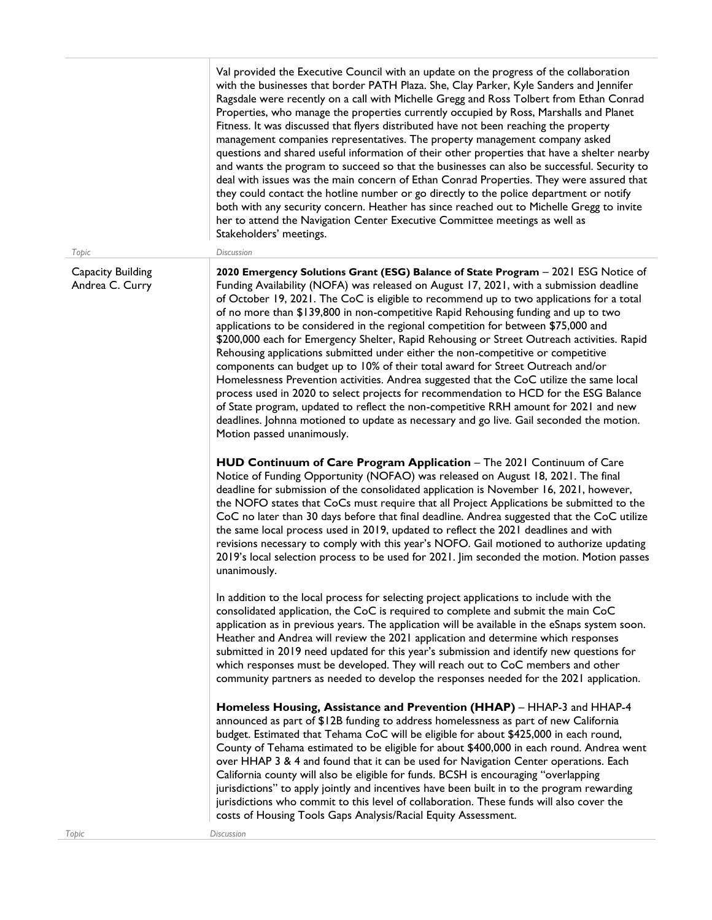| Topic                                | Val provided the Executive Council with an update on the progress of the collaboration<br>with the businesses that border PATH Plaza. She, Clay Parker, Kyle Sanders and Jennifer<br>Ragsdale were recently on a call with Michelle Gregg and Ross Tolbert from Ethan Conrad<br>Properties, who manage the properties currently occupied by Ross, Marshalls and Planet<br>Fitness. It was discussed that flyers distributed have not been reaching the property<br>management companies representatives. The property management company asked<br>questions and shared useful information of their other properties that have a shelter nearby<br>and wants the program to succeed so that the businesses can also be successful. Security to<br>deal with issues was the main concern of Ethan Conrad Properties. They were assured that<br>they could contact the hotline number or go directly to the police department or notify<br>both with any security concern. Heather has since reached out to Michelle Gregg to invite<br>her to attend the Navigation Center Executive Committee meetings as well as<br>Stakeholders' meetings.<br>Discussion |
|--------------------------------------|-----------------------------------------------------------------------------------------------------------------------------------------------------------------------------------------------------------------------------------------------------------------------------------------------------------------------------------------------------------------------------------------------------------------------------------------------------------------------------------------------------------------------------------------------------------------------------------------------------------------------------------------------------------------------------------------------------------------------------------------------------------------------------------------------------------------------------------------------------------------------------------------------------------------------------------------------------------------------------------------------------------------------------------------------------------------------------------------------------------------------------------------------------------|
| Capacity Building<br>Andrea C. Curry | 2020 Emergency Solutions Grant (ESG) Balance of State Program - 2021 ESG Notice of<br>Funding Availability (NOFA) was released on August 17, 2021, with a submission deadline<br>of October 19, 2021. The CoC is eligible to recommend up to two applications for a total<br>of no more than \$139,800 in non-competitive Rapid Rehousing funding and up to two<br>applications to be considered in the regional competition for between \$75,000 and<br>\$200,000 each for Emergency Shelter, Rapid Rehousing or Street Outreach activities. Rapid<br>Rehousing applications submitted under either the non-competitive or competitive<br>components can budget up to 10% of their total award for Street Outreach and/or<br>Homelessness Prevention activities. Andrea suggested that the CoC utilize the same local<br>process used in 2020 to select projects for recommendation to HCD for the ESG Balance<br>of State program, updated to reflect the non-competitive RRH amount for 2021 and new<br>deadlines. Johnna motioned to update as necessary and go live. Gail seconded the motion.<br>Motion passed unanimously.                         |
|                                      | HUD Continuum of Care Program Application - The 2021 Continuum of Care<br>Notice of Funding Opportunity (NOFAO) was released on August 18, 2021. The final<br>deadline for submission of the consolidated application is November 16, 2021, however,<br>the NOFO states that CoCs must require that all Project Applications be submitted to the<br>CoC no later than 30 days before that final deadline. Andrea suggested that the CoC utilize<br>the same local process used in 2019, updated to reflect the 2021 deadlines and with<br>revisions necessary to comply with this year's NOFO. Gail motioned to authorize updating<br>2019's local selection process to be used for 2021. Jim seconded the motion. Motion passes<br>unanimously.                                                                                                                                                                                                                                                                                                                                                                                                          |
|                                      | In addition to the local process for selecting project applications to include with the<br>consolidated application, the CoC is required to complete and submit the main CoC<br>application as in previous years. The application will be available in the eSnaps system soon.<br>Heather and Andrea will review the 2021 application and determine which responses<br>submitted in 2019 need updated for this year's submission and identify new questions for<br>which responses must be developed. They will reach out to CoC members and other<br>community partners as needed to develop the responses needed for the 2021 application.                                                                                                                                                                                                                                                                                                                                                                                                                                                                                                              |
|                                      | Homeless Housing, Assistance and Prevention (HHAP) - HHAP-3 and HHAP-4<br>announced as part of \$12B funding to address homelessness as part of new California<br>budget. Estimated that Tehama CoC will be eligible for about \$425,000 in each round,<br>County of Tehama estimated to be eligible for about \$400,000 in each round. Andrea went<br>over HHAP 3 & 4 and found that it can be used for Navigation Center operations. Each<br>California county will also be eligible for funds. BCSH is encouraging "overlapping<br>jurisdictions" to apply jointly and incentives have been built in to the program rewarding<br>jurisdictions who commit to this level of collaboration. These funds will also cover the<br>costs of Housing Tools Gaps Analysis/Racial Equity Assessment.                                                                                                                                                                                                                                                                                                                                                            |